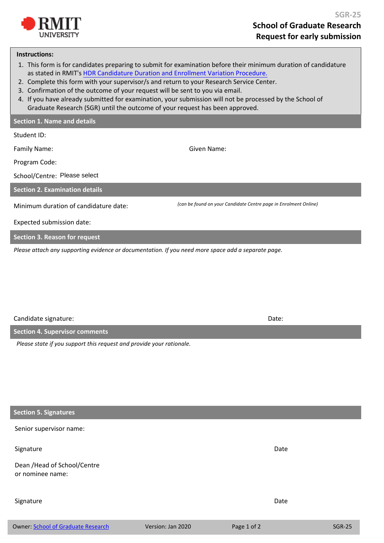

## **Instructions:**

- 1. This form is for candidates preparing to submit for examination before their minimum duration of candidature as stated in RMIT's [HDR Candidature Duration and Enrollment Variation Procedure.](https://www.rmit.edu.au/about/governance-and-management/policies/hdr/candidature-duration-procedure)
- 2. Complete this form with your supervisor/s and return to your Research Service Center.
- 3. Confirmation of the outcome of your request will be sent to you via email.
- 4. [If you have already submitted for examination, your submission will not be processed by the School of](https://www.rmit.edu.au/about/governance-and-management/policies/hdr/submission-examination-procedure) Graduate Research (SGR) until the outcome of your request has been approved.

## **Section 1. Name and details**

| Student ID:                                                                                         |                                                                  |
|-----------------------------------------------------------------------------------------------------|------------------------------------------------------------------|
| Family Name:                                                                                        | Given Name:                                                      |
| Program Code:                                                                                       |                                                                  |
| School/Centre: Please select                                                                        |                                                                  |
| <b>Section 2. Examination details</b>                                                               |                                                                  |
| Minimum duration of candidature date:                                                               | (can be found on your Candidate Centre page in Enrolment Online) |
| Expected submission date:                                                                           |                                                                  |
| <b>Section 3. Reason for request</b>                                                                |                                                                  |
| 그는 그 그 사람들은 그 사람들을 하고 있는 것을 하고 있다. 그 사람들은 그 사람들은 그 사람들을 지키고 있다. 그 사람들은 그 사람들은 그 사람들은 그 사람들을 지키고 있다. |                                                                  |

*Please attach any supporting evidence or documentation. If you need more space add a separate page.* 

Candidate signature: Date:

| Section 4. Supervisor comments                                       |  |
|----------------------------------------------------------------------|--|
| Please state if you support this request and provide your rationale. |  |
|                                                                      |  |

## **Section 5. Signatures**

Senior supervisor name:

Signature Date Date Communications and the Communications of the Communications of the Date Date

Dean /Head of School/Centre or nominee name:

## Signature Date Date Communications and the Communications of the Communications of the Date Date